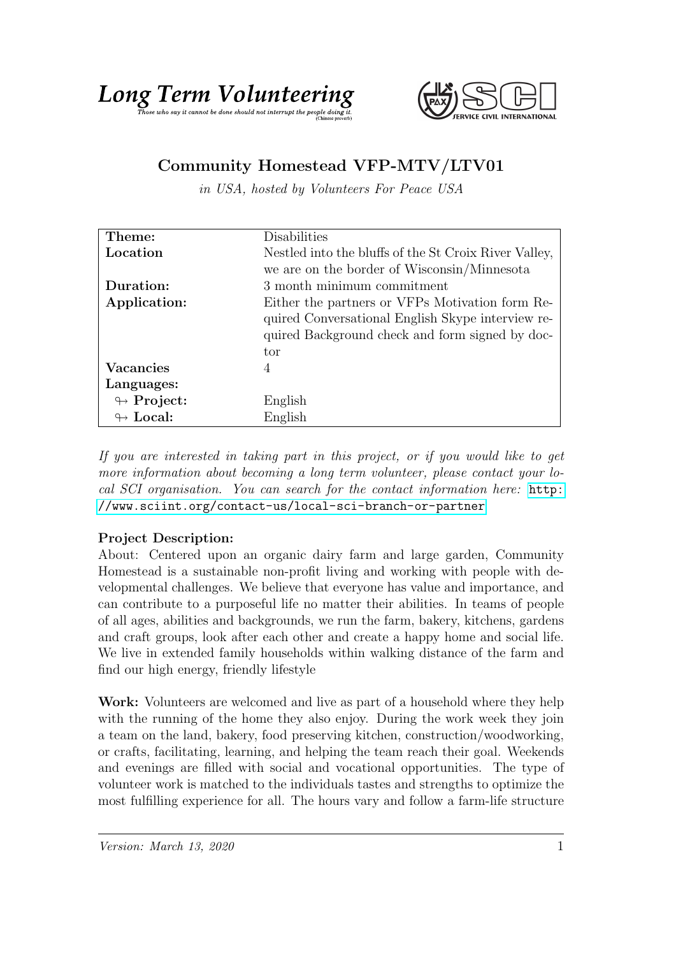

## Community Homestead VFP-MTV/LTV01

in USA, hosted by Volunteers For Peace USA

| Theme:                     | Disabilities                                          |
|----------------------------|-------------------------------------------------------|
| Location                   | Nestled into the bluffs of the St Croix River Valley, |
|                            | we are on the border of Wisconsin/Minnesota           |
| Duration:                  | $3$ month minimum commitment $\,$                     |
| Application:               | Either the partners or VFPs Motivation form Re-       |
|                            | quired Conversational English Skype interview re-     |
|                            | quired Background check and form signed by doc-       |
|                            | tor                                                   |
| <b>Vacancies</b>           | 4                                                     |
| Languages:                 |                                                       |
| $\leftrightarrow$ Project: | English                                               |
| $\leftrightarrow$ Local:   | English                                               |

If you are interested in taking part in this project, or if you would like to get more information about becoming a long term volunteer, please contact your local SCI organisation. You can search for the contact information here: [http:](http://www.sciint.org/contact-us/local-sci-branch-or-partner) [//www.sciint.org/contact-us/local-sci-branch-or-partner](http://www.sciint.org/contact-us/local-sci-branch-or-partner)

## Project Description:

About: Centered upon an organic dairy farm and large garden, Community Homestead is a sustainable non-profit living and working with people with developmental challenges. We believe that everyone has value and importance, and can contribute to a purposeful life no matter their abilities. In teams of people of all ages, abilities and backgrounds, we run the farm, bakery, kitchens, gardens and craft groups, look after each other and create a happy home and social life. We live in extended family households within walking distance of the farm and find our high energy, friendly lifestyle

Work: Volunteers are welcomed and live as part of a household where they help with the running of the home they also enjoy. During the work week they join a team on the land, bakery, food preserving kitchen, construction/woodworking, or crafts, facilitating, learning, and helping the team reach their goal. Weekends and evenings are filled with social and vocational opportunities. The type of volunteer work is matched to the individuals tastes and strengths to optimize the most fulfilling experience for all. The hours vary and follow a farm-life structure